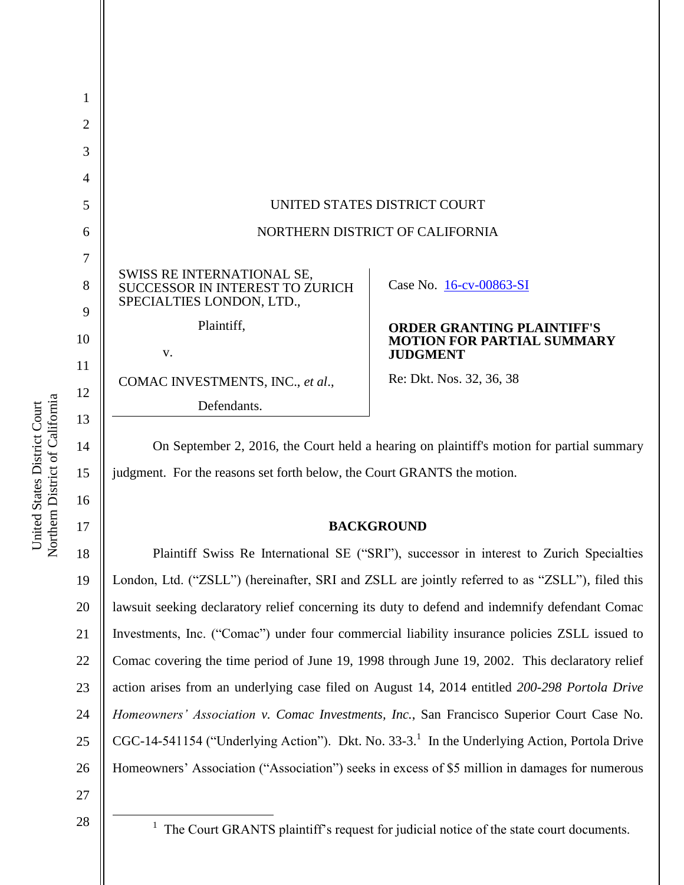|                                                                                                   | UNITED STATES DISTRICT COURT                         |
|---------------------------------------------------------------------------------------------------|------------------------------------------------------|
|                                                                                                   | NORTHERN DISTRICT OF CALIFORNIA                      |
|                                                                                                   |                                                      |
| SWISS RE INTERNATIONAL SE,<br><b>SUCCESSOR IN INTEREST TO ZURICH</b><br>SPECIALTIES LONDON, LTD., | Case No. 16-cv-00863-SI                              |
| Plaintiff,                                                                                        | <b>ORDER GRANTING PLAINTIFF'S</b>                    |
| V.                                                                                                | <b>MOTION FOR PARTIAL SUMMARY</b><br><b>JUDGMENT</b> |
| COMAC INVESTMENTS, INC., et al.,                                                                  | Re: Dkt. Nos. 32, 36, 38                             |
| Defendants.                                                                                       |                                                      |

On September 2, 2016, the Court held a hearing on plaintiff's motion for partial summary judgment. For the reasons set forth below, the Court GRANTS the motion.

#### **BACKGROUND**

18 19 20 21 22 23 24 25 26 Plaintiff Swiss Re International SE ("SRI"), successor in interest to Zurich Specialties London, Ltd. ("ZSLL") (hereinafter, SRI and ZSLL are jointly referred to as "ZSLL"), filed this lawsuit seeking declaratory relief concerning its duty to defend and indemnify defendant Comac Investments, Inc. ("Comac") under four commercial liability insurance policies ZSLL issued to Comac covering the time period of June 19, 1998 through June 19, 2002. This declaratory relief action arises from an underlying case filed on August 14, 2014 entitled *200-298 Portola Drive Homeowners' Association v. Comac Investments, Inc.*, San Francisco Superior Court Case No. CGC-14-541154 ("Underlying Action"). Dkt. No. 33-3.<sup>1</sup> In the Underlying Action, Portola Drive Homeowners' Association ("Association") seeks in excess of \$5 million in damages for numerous

27 28

 $\overline{a}$ 

Northern District of California Northern District of California United States District Court United States District Court

15

16

 $<sup>1</sup>$  The Court GRANTS plaintiff's request for judicial notice of the state court documents.</sup>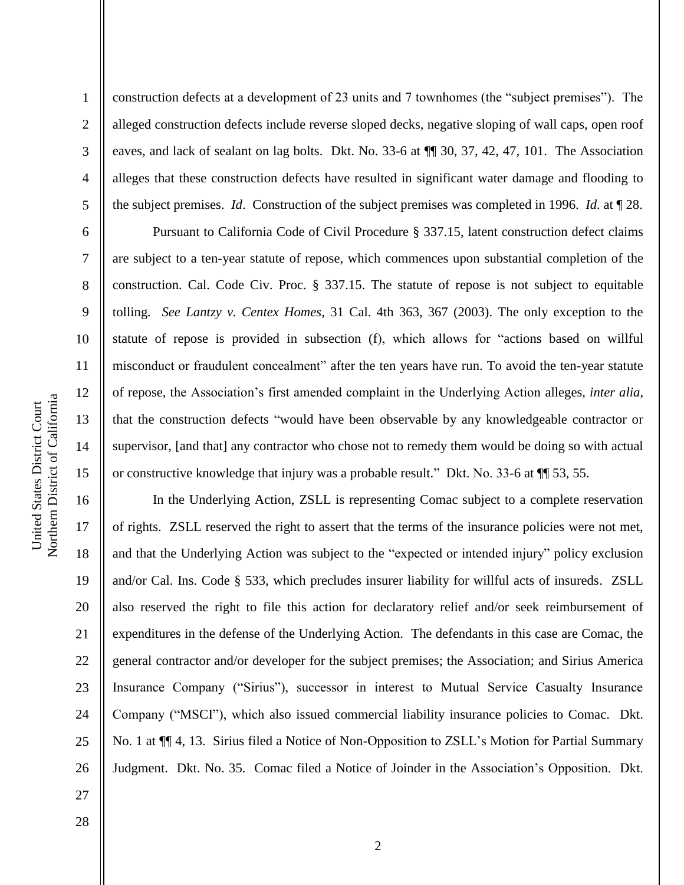2

3

4

5

6

7

8

9

10

11

12

13

14

15

construction defects at a development of 23 units and 7 townhomes (the "subject premises"). The alleged construction defects include reverse sloped decks, negative sloping of wall caps, open roof eaves, and lack of sealant on lag bolts. Dkt. No. 33-6 at ¶¶ 30, 37, 42, 47, 101. The Association alleges that these construction defects have resulted in significant water damage and flooding to the subject premises. *Id*. Construction of the subject premises was completed in 1996. *Id*. at ¶ 28.

Pursuant to California Code of Civil Procedure § 337.15, latent construction defect claims are subject to a ten-year statute of repose, which commences upon substantial completion of the construction. Cal. Code Civ. Proc. § 337.15. The statute of repose is not subject to equitable tolling. *See Lantzy v. Centex Homes*, 31 Cal. 4th 363, 367 (2003). The only exception to the statute of repose is provided in subsection (f), which allows for "actions based on willful misconduct or fraudulent concealment" after the ten years have run. To avoid the ten-year statute of repose, the Association's first amended complaint in the Underlying Action alleges, *inter alia*, that the construction defects "would have been observable by any knowledgeable contractor or supervisor, [and that] any contractor who chose not to remedy them would be doing so with actual or constructive knowledge that injury was a probable result." Dkt. No. 33-6 at ¶¶ 53, 55.

16 17 18 19 20 21 22 23 24 25 26 In the Underlying Action, ZSLL is representing Comac subject to a complete reservation of rights. ZSLL reserved the right to assert that the terms of the insurance policies were not met, and that the Underlying Action was subject to the "expected or intended injury" policy exclusion and/or Cal. Ins. Code § 533, which precludes insurer liability for willful acts of insureds. ZSLL also reserved the right to file this action for declaratory relief and/or seek reimbursement of expenditures in the defense of the Underlying Action. The defendants in this case are Comac, the general contractor and/or developer for the subject premises; the Association; and Sirius America Insurance Company ("Sirius"), successor in interest to Mutual Service Casualty Insurance Company ("MSCI"), which also issued commercial liability insurance policies to Comac. Dkt. No. 1 at ¶¶ 4, 13. Sirius filed a Notice of Non-Opposition to ZSLL's Motion for Partial Summary Judgment. Dkt. No. 35. Comac filed a Notice of Joinder in the Association's Opposition. Dkt.

28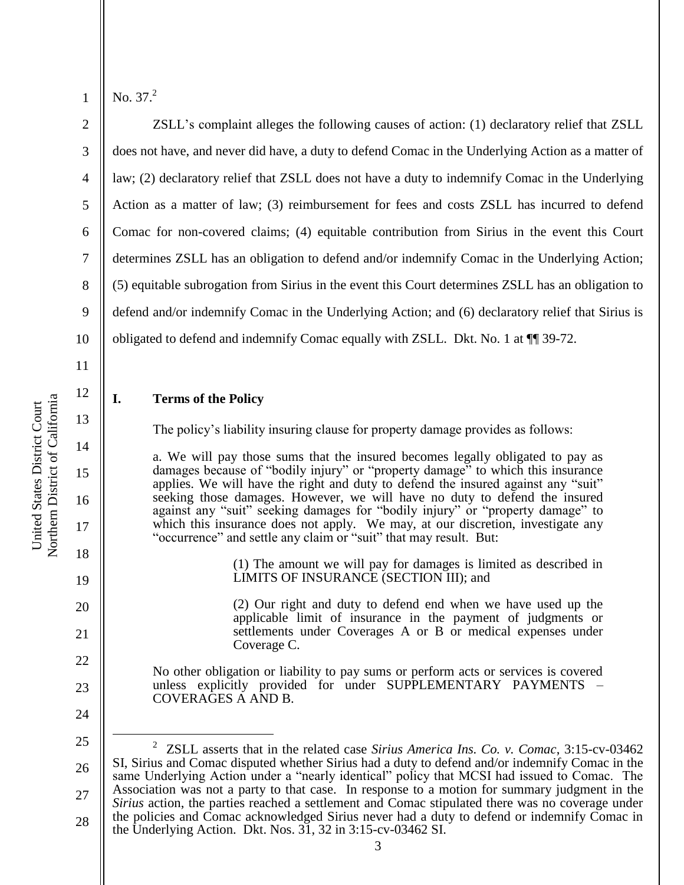2

3

4

5

6

7

8

9

10

11

12

13

14

15

16

17

18

19

20

21

22

23

No.  $37<sup>2</sup>$ 

ZSLL's complaint alleges the following causes of action: (1) declaratory relief that ZSLL does not have, and never did have, a duty to defend Comac in the Underlying Action as a matter of law; (2) declaratory relief that ZSLL does not have a duty to indemnify Comac in the Underlying Action as a matter of law; (3) reimbursement for fees and costs ZSLL has incurred to defend Comac for non-covered claims; (4) equitable contribution from Sirius in the event this Court determines ZSLL has an obligation to defend and/or indemnify Comac in the Underlying Action; (5) equitable subrogation from Sirius in the event this Court determines ZSLL has an obligation to defend and/or indemnify Comac in the Underlying Action; and (6) declaratory relief that Sirius is obligated to defend and indemnify Comac equally with ZSLL. Dkt. No. 1 at ¶¶ 39-72.

# **I. Terms of the Policy**

The policy's liability insuring clause for property damage provides as follows:

a. We will pay those sums that the insured becomes legally obligated to pay as damages because of "bodily injury" or "property damage" to which this insurance applies. We will have the right and duty to defend the insured against any "suit" seeking those damages. However, we will have no duty to defend the insured against any "suit" seeking damages for "bodily injury" or "property damage" to which this insurance does not apply. We may, at our discretion, investigate any "occurrence" and settle any claim or "suit" that may result. But:

> (1) The amount we will pay for damages is limited as described in LIMITS OF INSURANCE (SECTION III); and

> (2) Our right and duty to defend end when we have used up the applicable limit of insurance in the payment of judgments or settlements under Coverages A or B or medical expenses under Coverage C.

No other obligation or liability to pay sums or perform acts or services is covered unless explicitly provided for under SUPPLEMENTARY PAYMENTS – COVERAGES A AND B.

24

 $\overline{a}$ 

25 26 27 28 2 ZSLL asserts that in the related case *Sirius America Ins. Co. v. Comac*, 3:15-cv-03462 SI, Sirius and Comac disputed whether Sirius had a duty to defend and/or indemnify Comac in the same Underlying Action under a "nearly identical" policy that MCSI had issued to Comac. The Association was not a party to that case. In response to a motion for summary judgment in the *Sirius* action, the parties reached a settlement and Comac stipulated there was no coverage under the policies and Comac acknowledged Sirius never had a duty to defend or indemnify Comac in the Underlying Action. Dkt. Nos. 31, 32 in 3:15-cv-03462 SI.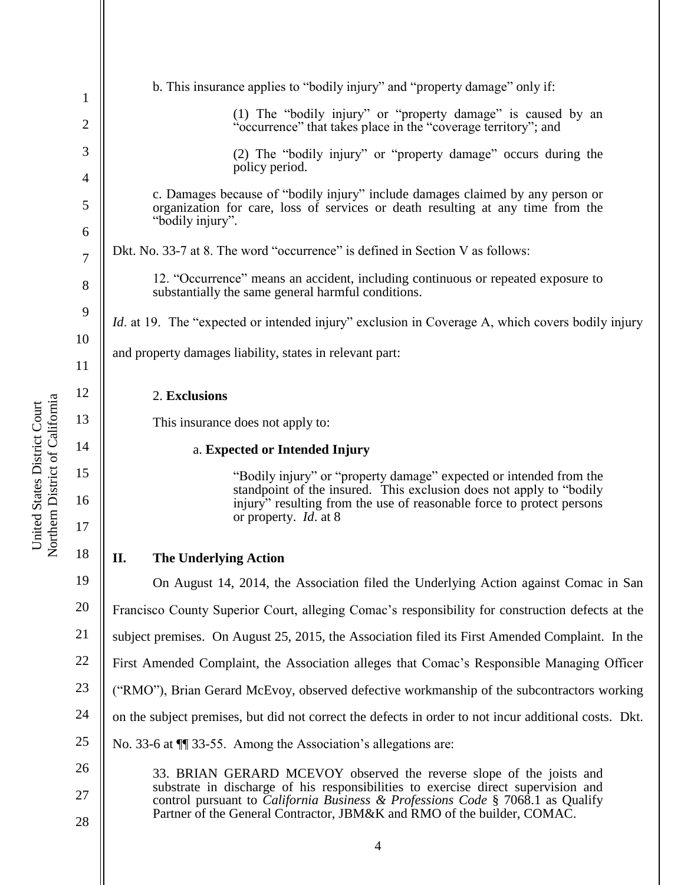| 1              | b. This insurance applies to "bodily injury" and "property damage" only if:                                                                                                       |
|----------------|-----------------------------------------------------------------------------------------------------------------------------------------------------------------------------------|
| $\overline{2}$ | (1) The "bodily injury" or "property damage" is caused by an<br>"occurrence" that takes place in the "coverage territory"; and                                                    |
| 3              | (2) The "bodily injury" or "property damage" occurs during the<br>policy period.                                                                                                  |
| $\overline{4}$ | c. Damages because of "bodily injury" include damages claimed by any person or                                                                                                    |
| 5              | organization for care, loss of services or death resulting at any time from the<br>"bodily injury".                                                                               |
| 6              | Dkt. No. 33-7 at 8. The word "occurrence" is defined in Section V as follows:                                                                                                     |
| $\overline{7}$ |                                                                                                                                                                                   |
| 8              | 12. "Occurrence" means an accident, including continuous or repeated exposure to<br>substantially the same general harmful conditions.                                            |
| 9              | <i>Id.</i> at 19. The "expected or intended injury" exclusion in Coverage A, which covers bodily injury                                                                           |
| 10             | and property damages liability, states in relevant part:                                                                                                                          |
| 11             |                                                                                                                                                                                   |
| 12             | 2. Exclusions                                                                                                                                                                     |
| 13             | This insurance does not apply to:                                                                                                                                                 |
| 14             | a. Expected or Intended Injury                                                                                                                                                    |
| 15             | "Bodily injury" or "property damage" expected or intended from the<br>standpoint of the insured. This exclusion does not apply to "bodily                                         |
| 16             | injury" resulting from the use of reasonable force to protect persons                                                                                                             |
| 17             | or property. <i>Id.</i> at 8                                                                                                                                                      |
| 18             | П.<br><b>The Underlying Action</b>                                                                                                                                                |
| 19             | On August 14, 2014, the Association filed the Underlying Action against Comac in San                                                                                              |
| 20             | Francisco County Superior Court, alleging Comac's responsibility for construction defects at the                                                                                  |
| 21             | subject premises. On August 25, 2015, the Association filed its First Amended Complaint. In the                                                                                   |
| 22             | First Amended Complaint, the Association alleges that Comac's Responsible Managing Officer                                                                                        |
| 23             | ("RMO"), Brian Gerard McEvoy, observed defective workmanship of the subcontractors working                                                                                        |
| 24             | on the subject premises, but did not correct the defects in order to not incur additional costs. Dkt.                                                                             |
| 25             | No. 33-6 at $\P$ 33-55. Among the Association's allegations are:                                                                                                                  |
| 26             | 33. BRIAN GERARD MCEVOY observed the reverse slope of the joists and                                                                                                              |
| 27             | substrate in discharge of his responsibilities to exercise direct supervision and<br>control pursuant to <i>California Business</i> & <i>Professions Code</i> § 7068.1 as Qualify |
| 28             | Partner of the General Contractor, JBM&K and RMO of the builder, COMAC.                                                                                                           |

United States District Court<br>Northern District of California Northern District of California United States District Court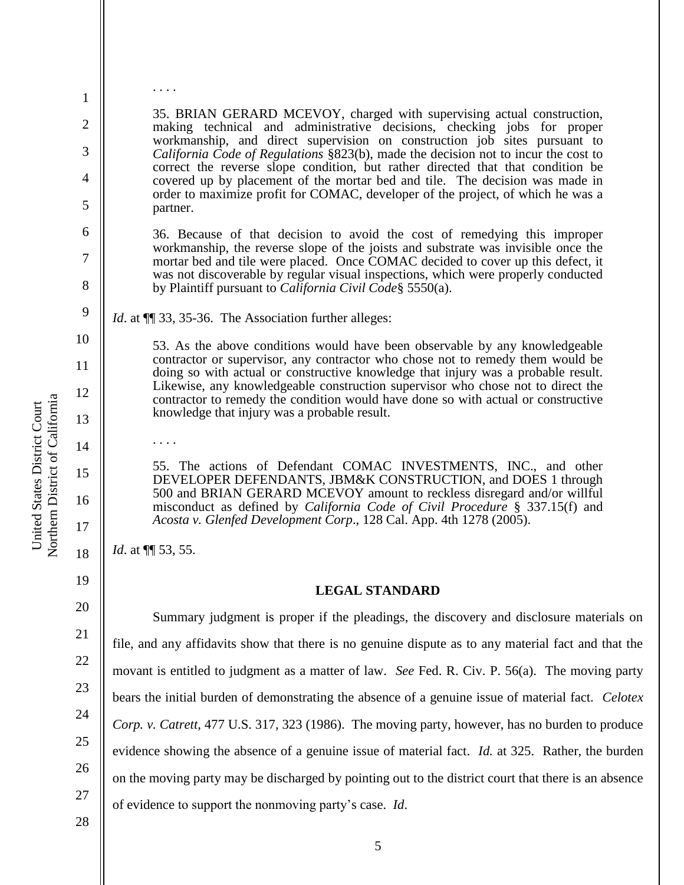35. BRIAN GERARD MCEVOY, charged with supervising actual construction, making technical and administrative decisions, checking jobs for proper workmanship, and direct supervision on construction job sites pursuant to *California Code of Regulations* §823(b), made the decision not to incur the cost to correct the reverse slope condition, but rather directed that that condition be covered up by placement of the mortar bed and tile. The decision was made in order to maximize profit for COMAC, developer of the project, of which he was a partner.

36. Because of that decision to avoid the cost of remedying this improper workmanship, the reverse slope of the joists and substrate was invisible once the mortar bed and tile were placed. Once COMAC decided to cover up this defect, it was not discoverable by regular visual inspections, which were properly conducted by Plaintiff pursuant to *California Civil Code*§ 5550(a).

*Id.* at  $\P$  33, 35-36. The Association further alleges:

53. As the above conditions would have been observable by any knowledgeable contractor or supervisor, any contractor who chose not to remedy them would be doing so with actual or constructive knowledge that injury was a probable result. Likewise, any knowledgeable construction supervisor who chose not to direct the contractor to remedy the condition would have done so with actual or constructive knowledge that injury was a probable result.

55. The actions of Defendant COMAC INVESTMENTS, INC., and other DEVELOPER DEFENDANTS, JBM&K CONSTRUCTION, and DOES 1 through 500 and BRIAN GERARD MCEVOY amount to reckless disregard and/or willful misconduct as defined by *California Code of Civil Procedure* § 337.15(f) and *Acosta v. Glenfed Development Corp*., 128 Cal. App. 4th 1278 (2005).

*Id.* at  $\P$  53, 55.

. . . .

19 20

21

22

23

24

25

26

27

1

. . . .

2

3

4

5

6

7

8

9

10

11

12

13

14

15

16

17

18

### **LEGAL STANDARD**

Summary judgment is proper if the pleadings, the discovery and disclosure materials on file, and any affidavits show that there is no genuine dispute as to any material fact and that the movant is entitled to judgment as a matter of law. *See* Fed. R. Civ. P. 56(a). The moving party bears the initial burden of demonstrating the absence of a genuine issue of material fact. *Celotex Corp. v. Catrett*, 477 U.S. 317, 323 (1986). The moving party, however, has no burden to produce evidence showing the absence of a genuine issue of material fact. *Id.* at 325. Rather, the burden on the moving party may be discharged by pointing out to the district court that there is an absence of evidence to support the nonmoving party's case. *Id*.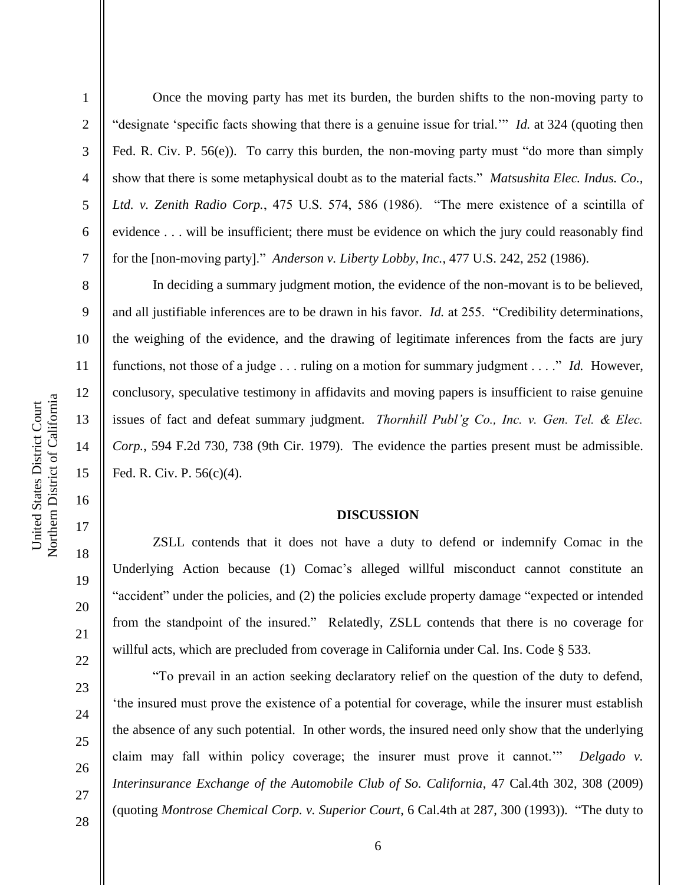2

3

4

5

6

7

8

9

10

11

12

13

14

15

16

17

18

19

20

21

22

23

24

25

26

27

Once the moving party has met its burden, the burden shifts to the non-moving party to "designate 'specific facts showing that there is a genuine issue for trial.'" *Id.* at 324 (quoting then Fed. R. Civ. P. 56(e)). To carry this burden, the non-moving party must "do more than simply show that there is some metaphysical doubt as to the material facts." *Matsushita Elec. Indus. Co., Ltd. v. Zenith Radio Corp.*, 475 U.S. 574, 586 (1986). "The mere existence of a scintilla of evidence . . . will be insufficient; there must be evidence on which the jury could reasonably find for the [non-moving party]." *Anderson v. Liberty Lobby, Inc.*, 477 U.S. 242, 252 (1986).

In deciding a summary judgment motion, the evidence of the non-movant is to be believed, and all justifiable inferences are to be drawn in his favor. *Id.* at 255. "Credibility determinations, the weighing of the evidence, and the drawing of legitimate inferences from the facts are jury functions, not those of a judge . . . ruling on a motion for summary judgment . . . ." *Id.* However, conclusory, speculative testimony in affidavits and moving papers is insufficient to raise genuine issues of fact and defeat summary judgment. *Thornhill Publ'g Co., Inc. v. Gen. Tel. & Elec. Corp.*, 594 F.2d 730, 738 (9th Cir. 1979). The evidence the parties present must be admissible. Fed. R. Civ. P. 56(c)(4).

#### **DISCUSSION**

ZSLL contends that it does not have a duty to defend or indemnify Comac in the Underlying Action because (1) Comac's alleged willful misconduct cannot constitute an "accident" under the policies, and (2) the policies exclude property damage "expected or intended from the standpoint of the insured." Relatedly, ZSLL contends that there is no coverage for willful acts, which are precluded from coverage in California under Cal. Ins. Code § 533.

"To prevail in an action seeking declaratory relief on the question of the duty to defend, 'the insured must prove the existence of a potential for coverage, while the insurer must establish the absence of any such potential. In other words, the insured need only show that the underlying claim may fall within policy coverage; the insurer must prove it cannot.'" *Delgado v. Interinsurance Exchange of the Automobile Club of So. California*, 47 Cal.4th 302, 308 (2009) (quoting *Montrose Chemical Corp. v. Superior Court*, 6 Cal.4th at 287, 300 (1993)). "The duty to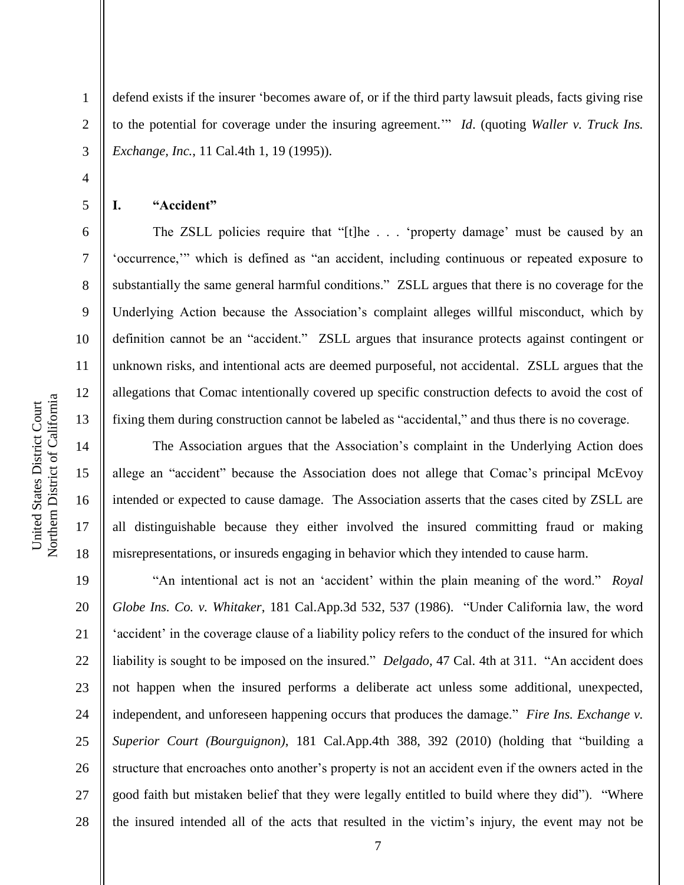defend exists if the insurer 'becomes aware of, or if the third party lawsuit pleads, facts giving rise to the potential for coverage under the insuring agreement.'" *Id*. (quoting *Waller v. Truck Ins. Exchange, Inc.*, 11 Cal.4th 1, 19 (1995)).

**I. "Accident"**

1

2

3

4

5

6

7

8

9

10

11

12

13

14

15

16

17

18

19

20

21

22

23

24

25

26

27

28

The ZSLL policies require that "[t]he . . . 'property damage' must be caused by an 'occurrence,'" which is defined as "an accident, including continuous or repeated exposure to substantially the same general harmful conditions." ZSLL argues that there is no coverage for the Underlying Action because the Association's complaint alleges willful misconduct, which by definition cannot be an "accident." ZSLL argues that insurance protects against contingent or unknown risks, and intentional acts are deemed purposeful, not accidental. ZSLL argues that the allegations that Comac intentionally covered up specific construction defects to avoid the cost of fixing them during construction cannot be labeled as "accidental," and thus there is no coverage.

The Association argues that the Association's complaint in the Underlying Action does allege an "accident" because the Association does not allege that Comac's principal McEvoy intended or expected to cause damage. The Association asserts that the cases cited by ZSLL are all distinguishable because they either involved the insured committing fraud or making misrepresentations, or insureds engaging in behavior which they intended to cause harm.

"An intentional act is not an 'accident' within the plain meaning of the word." *Royal Globe Ins. Co. v. Whitaker*, 181 Cal.App.3d 532, 537 (1986). "Under California law, the word 'accident' in the coverage clause of a liability policy refers to the conduct of the insured for which liability is sought to be imposed on the insured." *Delgado*, 47 Cal. 4th at 311. "An accident does not happen when the insured performs a deliberate act unless some additional, unexpected, independent, and unforeseen happening occurs that produces the damage." *Fire Ins. Exchange v. Superior Court (Bourguignon)*, 181 Cal.App.4th 388, 392 (2010) (holding that "building a structure that encroaches onto another's property is not an accident even if the owners acted in the good faith but mistaken belief that they were legally entitled to build where they did"). "Where the insured intended all of the acts that resulted in the victim's injury, the event may not be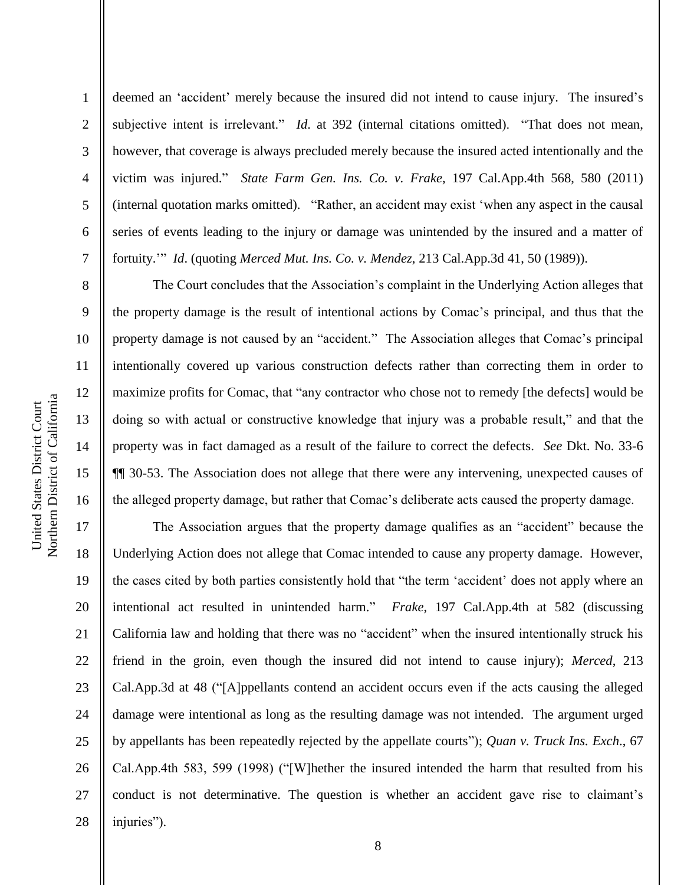9

10

11

12

13

14

15

16

1 2 3 4 5 6 7 deemed an 'accident' merely because the insured did not intend to cause injury. The insured's subjective intent is irrelevant." *Id*. at 392 (internal citations omitted). "That does not mean, however, that coverage is always precluded merely because the insured acted intentionally and the victim was injured." *State Farm Gen. Ins. Co. v. Frake*, 197 Cal.App.4th 568, 580 (2011) (internal quotation marks omitted). "Rather, an accident may exist 'when any aspect in the causal series of events leading to the injury or damage was unintended by the insured and a matter of fortuity.'" *Id*. (quoting *Merced Mut. Ins. Co. v. Mendez*, 213 Cal.App.3d 41, 50 (1989)).

The Court concludes that the Association's complaint in the Underlying Action alleges that the property damage is the result of intentional actions by Comac's principal, and thus that the property damage is not caused by an "accident." The Association alleges that Comac's principal intentionally covered up various construction defects rather than correcting them in order to maximize profits for Comac, that "any contractor who chose not to remedy [the defects] would be doing so with actual or constructive knowledge that injury was a probable result," and that the property was in fact damaged as a result of the failure to correct the defects. *See* Dkt. No. 33-6 ¶¶ 30-53. The Association does not allege that there were any intervening, unexpected causes of the alleged property damage, but rather that Comac's deliberate acts caused the property damage.

17 18 19 20 21 22 23 24 25 26 27 28 The Association argues that the property damage qualifies as an "accident" because the Underlying Action does not allege that Comac intended to cause any property damage. However, the cases cited by both parties consistently hold that "the term 'accident' does not apply where an intentional act resulted in unintended harm." *Frake*, 197 Cal.App.4th at 582 (discussing California law and holding that there was no "accident" when the insured intentionally struck his friend in the groin, even though the insured did not intend to cause injury); *Merced*, 213 Cal.App.3d at 48 ("[A]ppellants contend an accident occurs even if the acts causing the alleged damage were intentional as long as the resulting damage was not intended. The argument urged by appellants has been repeatedly rejected by the appellate courts"); *Quan v. Truck Ins. Exch*., 67 Cal.App.4th 583, 599 (1998) ("[W]hether the insured intended the harm that resulted from his conduct is not determinative. The question is whether an accident gave rise to claimant's injuries").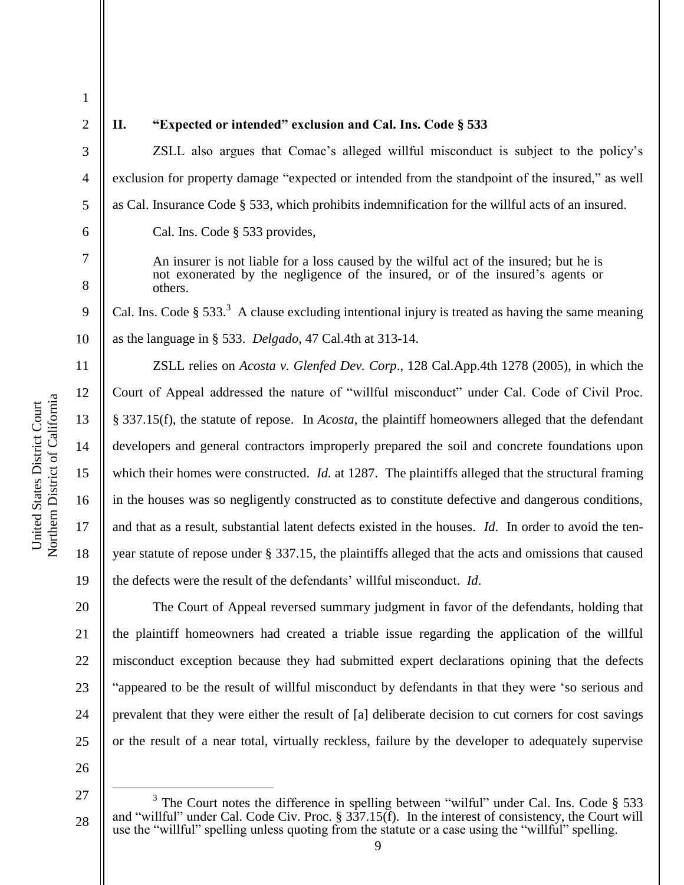4

5

6

7

8

9

10

11

12

13

14

15

16

17

18

19

20

21

22

23

24

25

1

## **II. "Expected or intended" exclusion and Cal. Ins. Code § 533**

ZSLL also argues that Comac's alleged willful misconduct is subject to the policy's exclusion for property damage "expected or intended from the standpoint of the insured," as well as Cal. Insurance Code § 533, which prohibits indemnification for the willful acts of an insured. Cal. Ins. Code § 533 provides,

An insurer is not liable for a loss caused by the wilful act of the insured; but he is not exonerated by the negligence of the insured, or of the insured's agents or others.

Cal. Ins. Code  $\S 533$ .<sup>3</sup> A clause excluding intentional injury is treated as having the same meaning as the language in § 533. *Delgado*, 47 Cal.4th at 313-14.

ZSLL relies on *Acosta v. Glenfed Dev. Corp*., 128 Cal.App.4th 1278 (2005), in which the Court of Appeal addressed the nature of "willful misconduct" under Cal. Code of Civil Proc. § 337.15(f), the statute of repose. In *Acosta*, the plaintiff homeowners alleged that the defendant developers and general contractors improperly prepared the soil and concrete foundations upon which their homes were constructed. *Id.* at 1287. The plaintiffs alleged that the structural framing in the houses was so negligently constructed as to constitute defective and dangerous conditions, and that as a result, substantial latent defects existed in the houses. *Id*. In order to avoid the tenyear statute of repose under § 337.15, the plaintiffs alleged that the acts and omissions that caused the defects were the result of the defendants' willful misconduct. *Id*.

The Court of Appeal reversed summary judgment in favor of the defendants, holding that the plaintiff homeowners had created a triable issue regarding the application of the willful misconduct exception because they had submitted expert declarations opining that the defects "appeared to be the result of willful misconduct by defendants in that they were 'so serious and prevalent that they were either the result of [a] deliberate decision to cut corners for cost savings or the result of a near total, virtually reckless, failure by the developer to adequately supervise

26

 $\overline{a}$ 

<sup>27</sup> 28  $3$  The Court notes the difference in spelling between "wilful" under Cal. Ins. Code  $\S$  533 and "willful" under Cal. Code Civ. Proc. § 337.15(f). In the interest of consistency, the Court will use the "willful" spelling unless quoting from the statute or a case using the "willful" spelling.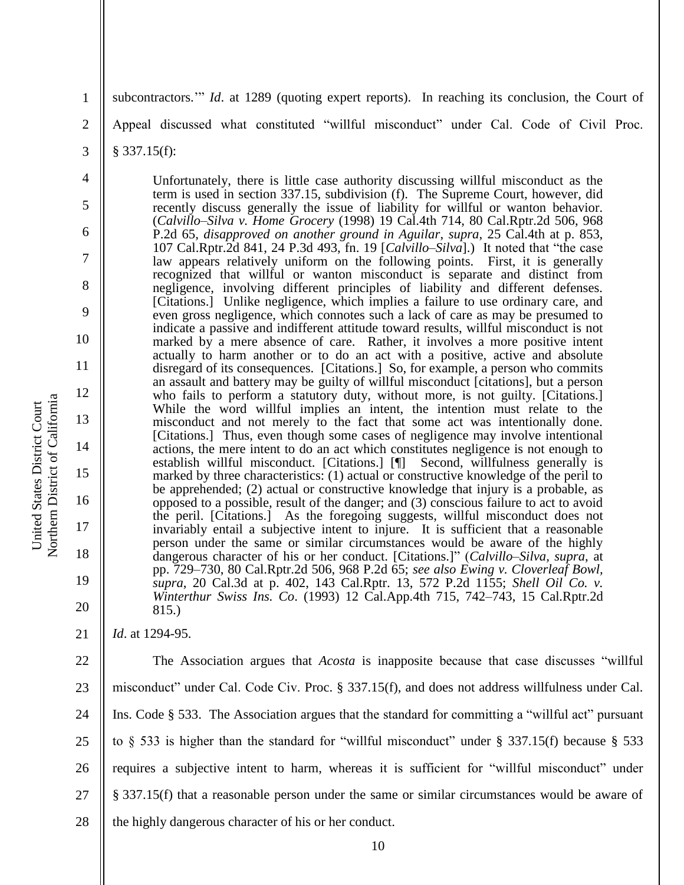3

4

5

6

7

8

9

10

11

12

13

14

15

16

17

18

19

20

21

subcontractors." *Id.* at 1289 (quoting expert reports). In reaching its conclusion, the Court of

Appeal discussed what constituted "willful misconduct" under Cal. Code of Civil Proc.

§ 337.15(f):

Unfortunately, there is little case authority discussing willful misconduct as the term is used in section 337.15, subdivision (f). The Supreme Court, however, did recently discuss generally the issue of liability for willful or wanton behavior. (*Calvillo–Silva v. Home Grocery* (1998) 19 Cal.4th 714, 80 Cal.Rptr.2d 506, 968 P.2d 65, *disapproved on another ground in Aguilar*, *supra*, 25 Cal.4th at p. 853, 107 Cal.Rptr.2d 841, 24 P.3d 493, fn. 19 [*Calvillo–Silva*].) It noted that "the case law appears relatively uniform on the following points. First, it is generally recognized that willful or wanton misconduct is separate and distinct from negligence, involving different principles of liability and different defenses. [Citations.] Unlike negligence, which implies a failure to use ordinary care, and even gross negligence, which connotes such a lack of care as may be presumed to indicate a passive and indifferent attitude toward results, willful misconduct is not marked by a mere absence of care. Rather, it involves a more positive intent actually to harm another or to do an act with a positive, active and absolute disregard of its consequences. [Citations.] So, for example, a person who commits an assault and battery may be guilty of willful misconduct [citations], but a person who fails to perform a statutory duty, without more, is not guilty. [Citations.] While the word willful implies an intent, the intention must relate to the misconduct and not merely to the fact that some act was intentionally done. [Citations.] Thus, even though some cases of negligence may involve intentional actions, the mere intent to do an act which constitutes negligence is not enough to establish willful misconduct. [Citations.] [¶] Second, willfulness generally is marked by three characteristics: (1) actual or constructive knowledge of the peril to be apprehended; (2) actual or constructive knowledge that injury is a probable, as opposed to a possible, result of the danger; and (3) conscious failure to act to avoid the peril. [Citations.] As the foregoing suggests, willful misconduct does not invariably entail a subjective intent to injure. It is sufficient that a reasonable person under the same or similar circumstances would be aware of the highly dangerous character of his or her conduct. [Citations.]" (*Calvillo–Silva, supra*, at pp. 729–730, 80 Cal.Rptr.2d 506, 968 P.2d 65; *see also Ewing v. Cloverleaf Bowl, supra*, 20 Cal.3d at p. 402, 143 Cal.Rptr. 13, 572 P.2d 1155; *Shell Oil Co. v. Winterthur Swiss Ins. Co*. (1993) 12 Cal.App.4th 715, 742–743, 15 Cal.Rptr.2d 815.)

*Id*. at 1294-95.

22 23 24 25 26 27 28 The Association argues that *Acosta* is inapposite because that case discusses "willful misconduct" under Cal. Code Civ. Proc. § 337.15(f), and does not address willfulness under Cal. Ins. Code § 533. The Association argues that the standard for committing a "willful act" pursuant to § 533 is higher than the standard for "willful misconduct" under § 337.15(f) because § 533 requires a subjective intent to harm, whereas it is sufficient for "willful misconduct" under § 337.15(f) that a reasonable person under the same or similar circumstances would be aware of the highly dangerous character of his or her conduct.

Northern District of California Northern District of California United States District Court United States District Court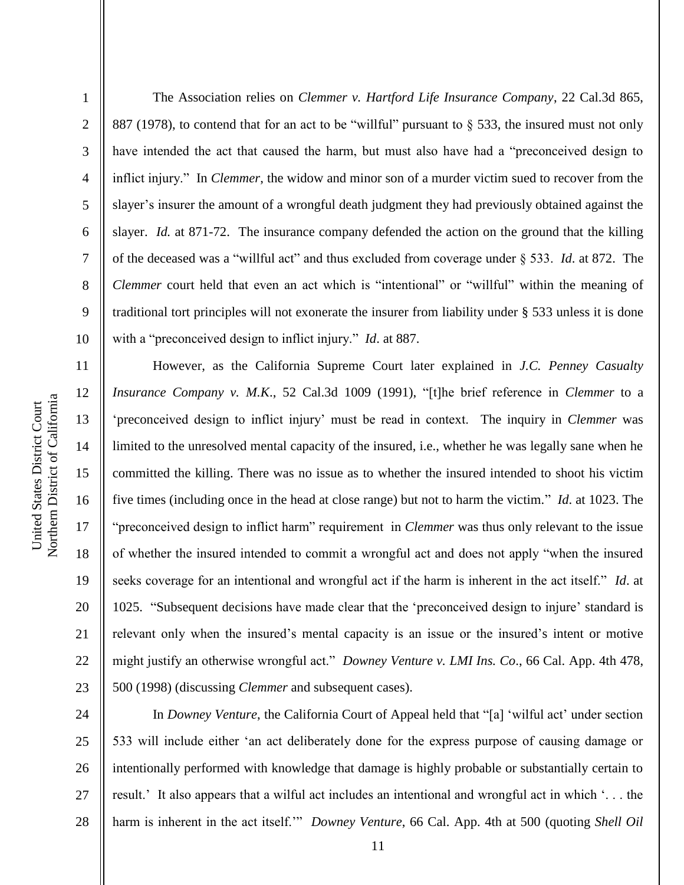2

3

4

5

6

7

8

9

10

11

12

13

14

15

17

18

19

21

The Association relies on *Clemmer v. Hartford Life Insurance Company*, 22 Cal.3d 865, 887 (1978), to contend that for an act to be "willful" pursuant to § 533, the insured must not only have intended the act that caused the harm, but must also have had a "preconceived design to inflict injury." In *Clemmer*, the widow and minor son of a murder victim sued to recover from the slayer's insurer the amount of a wrongful death judgment they had previously obtained against the slayer. *Id.* at 871-72. The insurance company defended the action on the ground that the killing of the deceased was a "willful act" and thus excluded from coverage under § 533. *Id*. at 872. The *Clemmer* court held that even an act which is "intentional" or "willful" within the meaning of traditional tort principles will not exonerate the insurer from liability under § 533 unless it is done with a "preconceived design to inflict injury." *Id*. at 887.

16 20 22 23 However, as the California Supreme Court later explained in *J.C. Penney Casualty Insurance Company v. M.K*., 52 Cal.3d 1009 (1991), "[t]he brief reference in *Clemmer* to a 'preconceived design to inflict injury' must be read in context. The inquiry in *Clemmer* was limited to the unresolved mental capacity of the insured, i.e., whether he was legally sane when he committed the killing. There was no issue as to whether the insured intended to shoot his victim five times (including once in the head at close range) but not to harm the victim." *Id*. at 1023. The "preconceived design to inflict harm" requirement in *Clemmer* was thus only relevant to the issue of whether the insured intended to commit a wrongful act and does not apply "when the insured seeks coverage for an intentional and wrongful act if the harm is inherent in the act itself." *Id*. at 1025. "Subsequent decisions have made clear that the 'preconceived design to injure' standard is relevant only when the insured's mental capacity is an issue or the insured's intent or motive might justify an otherwise wrongful act." *Downey Venture v. LMI Ins. Co*., 66 Cal. App. 4th 478, 500 (1998) (discussing *Clemmer* and subsequent cases).

24 25 26 27 28 In *Downey Venture*, the California Court of Appeal held that "[a] 'wilful act' under section 533 will include either 'an act deliberately done for the express purpose of causing damage or intentionally performed with knowledge that damage is highly probable or substantially certain to result.' It also appears that a wilful act includes an intentional and wrongful act in which '. . . the harm is inherent in the act itself." *Downey Venture*, 66 Cal. App. 4th at 500 (quoting *Shell Oil*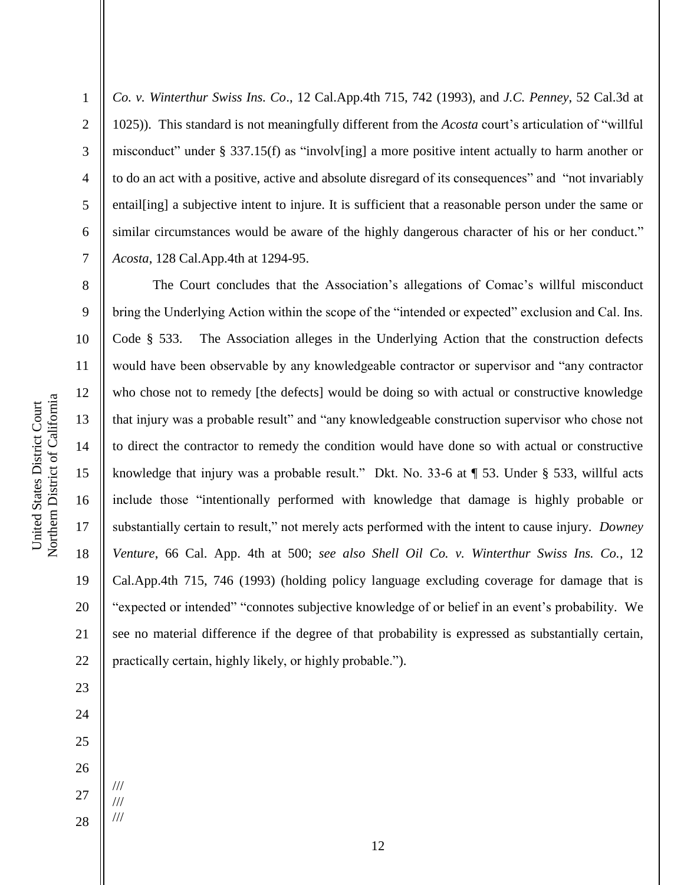Northern District of California Northern District of California United States District Court United States District Court

1

2

3

4

5

6

7

8

9

11

12

13

14

15

17

18

19

21

23

*Co. v. Winterthur Swiss Ins. Co*., 12 Cal.App.4th 715, 742 (1993), and *J.C. Penney*, 52 Cal.3d at 1025)). This standard is not meaningfully different from the *Acosta* court's articulation of "willful misconduct" under § 337.15(f) as "involv[ing] a more positive intent actually to harm another or to do an act with a positive, active and absolute disregard of its consequences" and "not invariably entail[ing] a subjective intent to injure. It is sufficient that a reasonable person under the same or similar circumstances would be aware of the highly dangerous character of his or her conduct." *Acosta*, 128 Cal.App.4th at 1294-95.

10 16 20 22 The Court concludes that the Association's allegations of Comac's willful misconduct bring the Underlying Action within the scope of the "intended or expected" exclusion and Cal. Ins. Code § 533. The Association alleges in the Underlying Action that the construction defects would have been observable by any knowledgeable contractor or supervisor and "any contractor who chose not to remedy [the defects] would be doing so with actual or constructive knowledge that injury was a probable result" and "any knowledgeable construction supervisor who chose not to direct the contractor to remedy the condition would have done so with actual or constructive knowledge that injury was a probable result." Dkt. No. 33-6 at ¶ 53. Under § 533, willful acts include those "intentionally performed with knowledge that damage is highly probable or substantially certain to result," not merely acts performed with the intent to cause injury. *Downey Venture*, 66 Cal. App. 4th at 500; *see also Shell Oil Co. v. Winterthur Swiss Ins. Co.*, 12 Cal.App.4th 715, 746 (1993) (holding policy language excluding coverage for damage that is "expected or intended" "connotes subjective knowledge of or belief in an event's probability. We see no material difference if the degree of that probability is expressed as substantially certain, practically certain, highly likely, or highly probable.").

28

/// /// ///